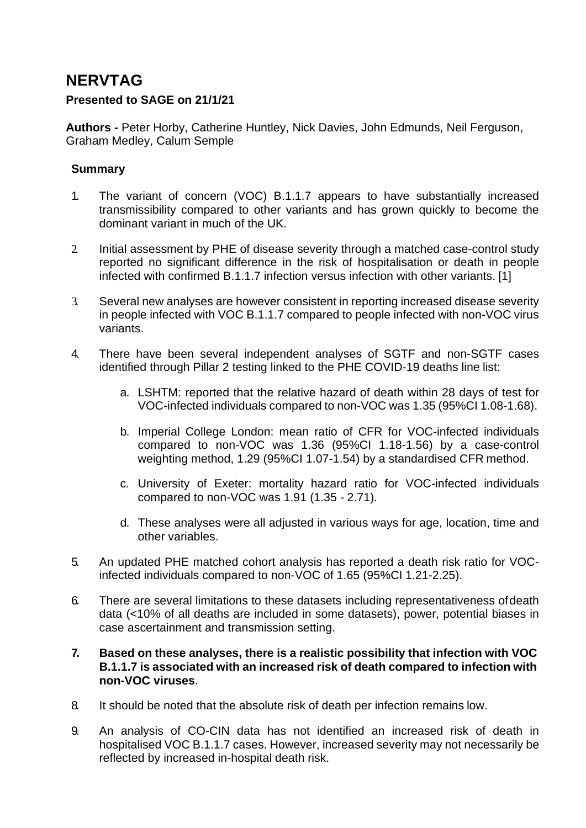# **NERVTAG**

#### **Presented to SAGE on 21/1/21**

**Authors -** Peter Horby, Catherine Huntley, Nick Davies, John Edmunds, Neil Ferguson, Graham Medley, Calum Semple

#### **Summary**

- 1. The variant of concern (VOC) B.1.1.7 appears to have substantially increased transmissibility compared to other variants and has grown quickly to become the dominant variant in much of the UK.
- 2. Initial assessment by PHE of disease severity through a matched case-control study reported no significant difference in the risk of hospitalisation or death in people infected with confirmed B.1.1.7 infection versus infection with other variants. [1]
- 3. Several new analyses are however consistent in reporting increased disease severity in people infected with VOC B.1.1.7 compared to people infected with non-VOC virus variants.
- 4. There have been several independent analyses of SGTF and non-SGTF cases identified through Pillar 2 testing linked to the PHE COVID-19 deaths line list:
	- a. LSHTM: reported that the relative hazard of death within 28 days of test for VOC-infected individuals compared to non-VOC was 1.35 (95%CI 1.08-1.68).
	- b. Imperial College London: mean ratio of CFR for VOC-infected individuals compared to non-VOC was 1.36 (95%CI 1.18-1.56) by a case-control weighting method, 1.29 (95%CI 1.07-1.54) by a standardised CFR method.
	- c. University of Exeter: mortality hazard ratio for VOC-infected individuals compared to non-VOC was 1.91 (1.35 - 2.71).
	- d. These analyses were all adjusted in various ways for age, location, time and other variables.
- 5. An updated PHE matched cohort analysis has reported a death risk ratio for VOCinfected individuals compared to non-VOC of 1.65 (95%CI 1.21-2.25).
- 6. There are several limitations to these datasets including representativeness ofdeath data (<10% of all deaths are included in some datasets), power, potential biases in case ascertainment and transmission setting.
- **7. Based on these analyses, there is a realistic possibility that infection with VOC B.1.1.7 is associated with an increased risk of death compared to infection with non-VOC viruses**.
- 8. It should be noted that the absolute risk of death per infection remains low.
- 9. An analysis of CO-CIN data has not identified an increased risk of death in hospitalised VOC B.1.1.7 cases. However, increased severity may not necessarily be reflected by increased in-hospital death risk.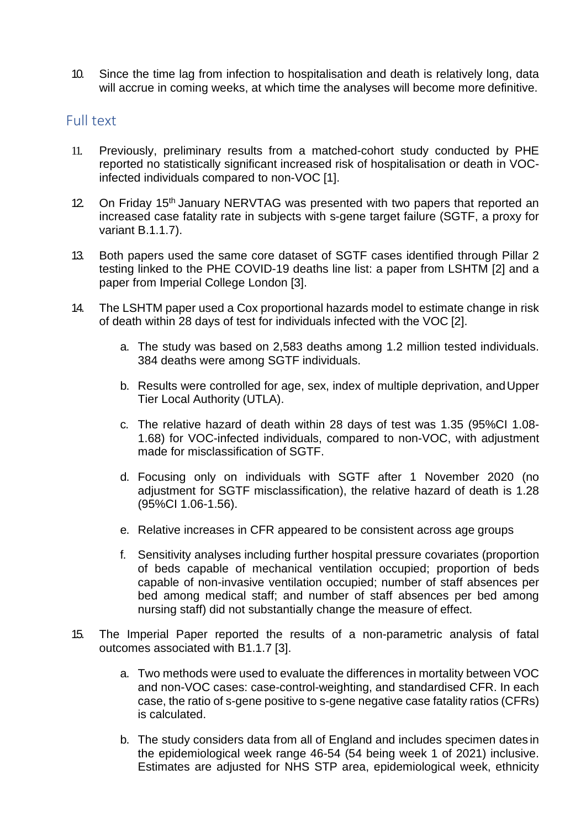10. Since the time lag from infection to hospitalisation and death is relatively long, data will accrue in coming weeks, at which time the analyses will become more definitive.

#### Full text

- 11. Previously, preliminary results from a matched-cohort study conducted by PHE reported no statistically significant increased risk of hospitalisation or death in VOCinfected individuals compared to non-VOC [1].
- 12. On Friday 15<sup>th</sup> January NERVTAG was presented with two papers that reported an increased case fatality rate in subjects with s-gene target failure (SGTF, a proxy for variant B.1.1.7).
- 13. Both papers used the same core dataset of SGTF cases identified through Pillar 2 testing linked to the PHE COVID-19 deaths line list: a paper from LSHTM [2] and a paper from Imperial College London [3].
- 14. The LSHTM paper used a Cox proportional hazards model to estimate change in risk of death within 28 days of test for individuals infected with the VOC [2].
	- a. The study was based on 2,583 deaths among 1.2 million tested individuals. 384 deaths were among SGTF individuals.
	- b. Results were controlled for age, sex, index of multiple deprivation, andUpper Tier Local Authority (UTLA).
	- c. The relative hazard of death within 28 days of test was 1.35 (95%CI 1.08- 1.68) for VOC-infected individuals, compared to non-VOC, with adjustment made for misclassification of SGTF.
	- d. Focusing only on individuals with SGTF after 1 November 2020 (no adjustment for SGTF misclassification), the relative hazard of death is 1.28 (95%CI 1.06-1.56).
	- e. Relative increases in CFR appeared to be consistent across age groups
	- f. Sensitivity analyses including further hospital pressure covariates (proportion of beds capable of mechanical ventilation occupied; proportion of beds capable of non-invasive ventilation occupied; number of staff absences per bed among medical staff; and number of staff absences per bed among nursing staff) did not substantially change the measure of effect.
- 15. The Imperial Paper reported the results of a non-parametric analysis of fatal outcomes associated with B1.1.7 [3].
	- a. Two methods were used to evaluate the differences in mortality between VOC and non-VOC cases: case-control-weighting, and standardised CFR. In each case, the ratio of s-gene positive to s-gene negative case fatality ratios (CFRs) is calculated.
	- b. The study considers data from all of England and includes specimen dates in the epidemiological week range 46-54 (54 being week 1 of 2021) inclusive. Estimates are adjusted for NHS STP area, epidemiological week, ethnicity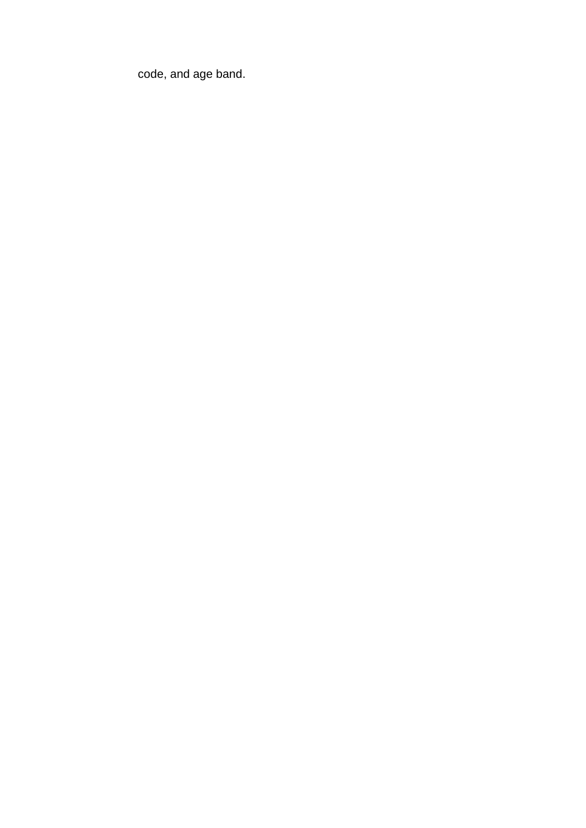code, and age band.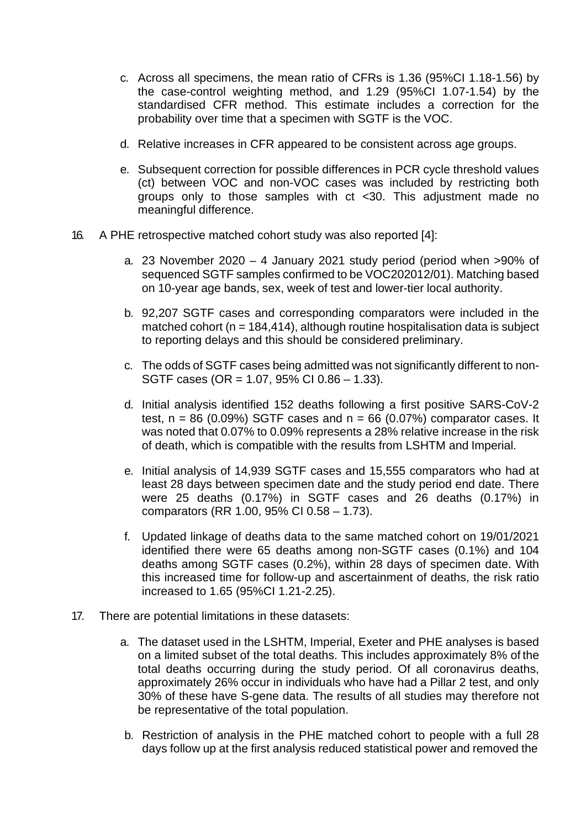- c. Across all specimens, the mean ratio of CFRs is 1.36 (95%CI 1.18-1.56) by the case-control weighting method, and 1.29 (95%CI 1.07-1.54) by the standardised CFR method. This estimate includes a correction for the probability over time that a specimen with SGTF is the VOC.
- d. Relative increases in CFR appeared to be consistent across age groups.
- e. Subsequent correction for possible differences in PCR cycle threshold values (ct) between VOC and non-VOC cases was included by restricting both groups only to those samples with ct <30. This adjustment made no meaningful difference.
- 16. A PHE retrospective matched cohort study was also reported [4]:
	- a. 23 November 2020 4 January 2021 study period (period when >90% of sequenced SGTF samples confirmed to be VOC202012/01). Matching based on 10-year age bands, sex, week of test and lower-tier local authority.
	- b. 92,207 SGTF cases and corresponding comparators were included in the matched cohort ( $n = 184,414$ ), although routine hospitalisation data is subject to reporting delays and this should be considered preliminary.
	- c. The odds of SGTF cases being admitted was not significantly different to non-SGTF cases (OR = 1.07, 95% CI 0.86 – 1.33).
	- d. Initial analysis identified 152 deaths following a first positive SARS-CoV-2 test,  $n = 86$  (0.09%) SGTF cases and  $n = 66$  (0.07%) comparator cases. It was noted that 0.07% to 0.09% represents a 28% relative increase in the risk of death, which is compatible with the results from LSHTM and Imperial.
	- e. Initial analysis of 14,939 SGTF cases and 15,555 comparators who had at least 28 days between specimen date and the study period end date. There were 25 deaths (0.17%) in SGTF cases and 26 deaths (0.17%) in comparators (RR 1.00, 95% CI 0.58 – 1.73).
	- f. Updated linkage of deaths data to the same matched cohort on 19/01/2021 identified there were 65 deaths among non-SGTF cases (0.1%) and 104 deaths among SGTF cases (0.2%), within 28 days of specimen date. With this increased time for follow-up and ascertainment of deaths, the risk ratio increased to 1.65 (95%CI 1.21-2.25).
- 17. There are potential limitations in these datasets:
	- a. The dataset used in the LSHTM, Imperial, Exeter and PHE analyses is based on a limited subset of the total deaths. This includes approximately 8% of the total deaths occurring during the study period. Of all coronavirus deaths, approximately 26% occur in individuals who have had a Pillar 2 test, and only 30% of these have S-gene data. The results of all studies may therefore not be representative of the total population.
	- b. Restriction of analysis in the PHE matched cohort to people with a full 28 days follow up at the first analysis reduced statistical power and removed the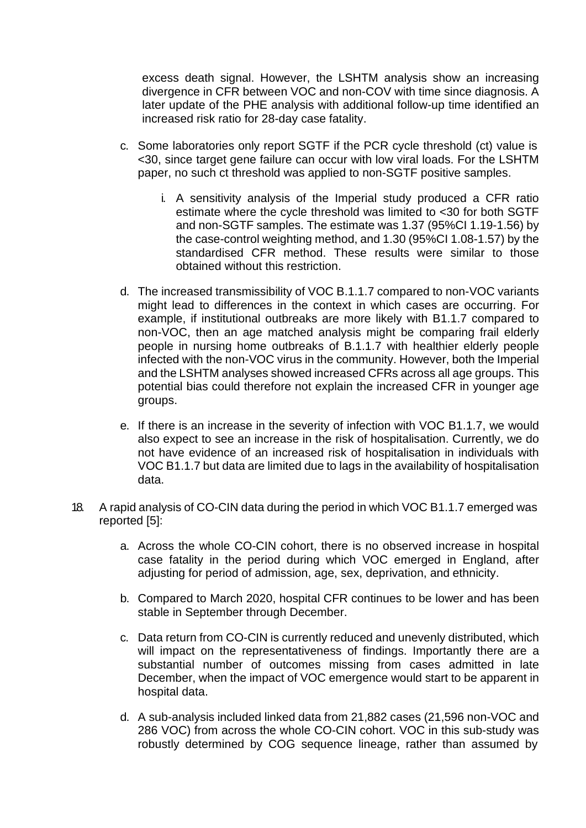excess death signal. However, the LSHTM analysis show an increasing divergence in CFR between VOC and non-COV with time since diagnosis. A later update of the PHE analysis with additional follow-up time identified an increased risk ratio for 28-day case fatality.

- c. Some laboratories only report SGTF if the PCR cycle threshold (ct) value is <30, since target gene failure can occur with low viral loads. For the LSHTM paper, no such ct threshold was applied to non-SGTF positive samples.
	- i. A sensitivity analysis of the Imperial study produced a CFR ratio estimate where the cycle threshold was limited to <30 for both SGTF and non-SGTF samples. The estimate was 1.37 (95%CI 1.19-1.56) by the case-control weighting method, and 1.30 (95%CI 1.08-1.57) by the standardised CFR method. These results were similar to those obtained without this restriction.
- d. The increased transmissibility of VOC B.1.1.7 compared to non-VOC variants might lead to differences in the context in which cases are occurring. For example, if institutional outbreaks are more likely with B1.1.7 compared to non-VOC, then an age matched analysis might be comparing frail elderly people in nursing home outbreaks of B.1.1.7 with healthier elderly people infected with the non-VOC virus in the community. However, both the Imperial and the LSHTM analyses showed increased CFRs across all age groups. This potential bias could therefore not explain the increased CFR in younger age groups.
- e. If there is an increase in the severity of infection with VOC B1.1.7, we would also expect to see an increase in the risk of hospitalisation. Currently, we do not have evidence of an increased risk of hospitalisation in individuals with VOC B1.1.7 but data are limited due to lags in the availability of hospitalisation data.
- 18. A rapid analysis of CO-CIN data during the period in which VOC B1.1.7 emerged was reported [5]:
	- a. Across the whole CO-CIN cohort, there is no observed increase in hospital case fatality in the period during which VOC emerged in England, after adjusting for period of admission, age, sex, deprivation, and ethnicity.
	- b. Compared to March 2020, hospital CFR continues to be lower and has been stable in September through December.
	- c. Data return from CO-CIN is currently reduced and unevenly distributed, which will impact on the representativeness of findings. Importantly there are a substantial number of outcomes missing from cases admitted in late December, when the impact of VOC emergence would start to be apparent in hospital data.
	- d. A sub-analysis included linked data from 21,882 cases (21,596 non-VOC and 286 VOC) from across the whole CO-CIN cohort. VOC in this sub-study was robustly determined by COG sequence lineage, rather than assumed by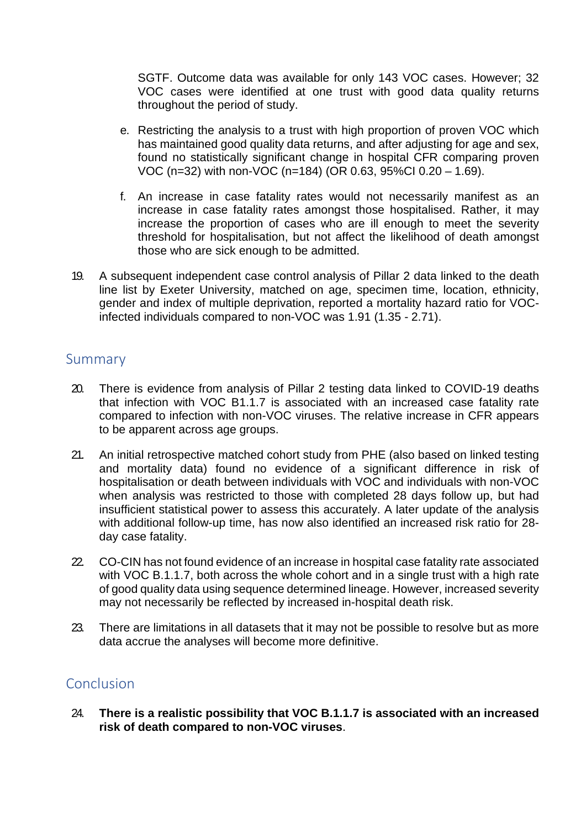SGTF. Outcome data was available for only 143 VOC cases. However; 32 VOC cases were identified at one trust with good data quality returns throughout the period of study.

- e. Restricting the analysis to a trust with high proportion of proven VOC which has maintained good quality data returns, and after adjusting for age and sex, found no statistically significant change in hospital CFR comparing proven VOC (n=32) with non-VOC (n=184) (OR 0.63, 95%CI 0.20 – 1.69).
- f. An increase in case fatality rates would not necessarily manifest as an increase in case fatality rates amongst those hospitalised. Rather, it may increase the proportion of cases who are ill enough to meet the severity threshold for hospitalisation, but not affect the likelihood of death amongst those who are sick enough to be admitted.
- 19. A subsequent independent case control analysis of Pillar 2 data linked to the death line list by Exeter University, matched on age, specimen time, location, ethnicity, gender and index of multiple deprivation, reported a mortality hazard ratio for VOCinfected individuals compared to non-VOC was 1.91 (1.35 - 2.71).

#### Summary

- 20. There is evidence from analysis of Pillar 2 testing data linked to COVID-19 deaths that infection with VOC B1.1.7 is associated with an increased case fatality rate compared to infection with non-VOC viruses. The relative increase in CFR appears to be apparent across age groups.
- 21. An initial retrospective matched cohort study from PHE (also based on linked testing and mortality data) found no evidence of a significant difference in risk of hospitalisation or death between individuals with VOC and individuals with non-VOC when analysis was restricted to those with completed 28 days follow up, but had insufficient statistical power to assess this accurately. A later update of the analysis with additional follow-up time, has now also identified an increased risk ratio for 28 day case fatality.
- 22. CO-CIN has not found evidence of an increase in hospital case fatality rate associated with VOC B.1.1.7, both across the whole cohort and in a single trust with a high rate of good quality data using sequence determined lineage. However, increased severity may not necessarily be reflected by increased in-hospital death risk.
- 23. There are limitations in all datasets that it may not be possible to resolve but as more data accrue the analyses will become more definitive.

## **Conclusion**

24. **There is a realistic possibility that VOC B.1.1.7 is associated with an increased risk of death compared to non-VOC viruses**.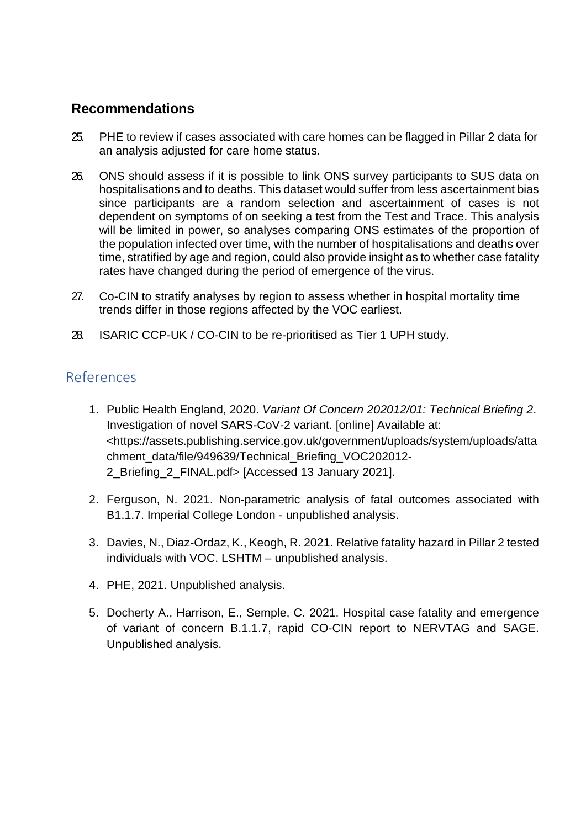### **Recommendations**

- 25. PHE to review if cases associated with care homes can be flagged in Pillar 2 data for an analysis adjusted for care home status.
- 26. ONS should assess if it is possible to link ONS survey participants to SUS data on hospitalisations and to deaths. This dataset would suffer from less ascertainment bias since participants are a random selection and ascertainment of cases is not dependent on symptoms of on seeking a test from the Test and Trace. This analysis will be limited in power, so analyses comparing ONS estimates of the proportion of the population infected over time, with the number of hospitalisations and deaths over time, stratified by age and region, could also provide insight as to whether case fatality rates have changed during the period of emergence of the virus.
- 27. Co-CIN to stratify analyses by region to assess whether in hospital mortality time trends differ in those regions affected by the VOC earliest.
- 28. ISARIC CCP-UK / CO-CIN to be re-prioritised as Tier 1 UPH study.

### References

- 1. Public Health England, 2020. *Variant Of Concern 202012/01: Technical Briefing 2*. Investigation of novel SARS-CoV-2 variant. [online] Available at: <https://assets.publishing.service.gov.uk/government/uploads/system/uploads/atta chment\_data/file/949639/Technical\_Briefing\_VOC202012- 2\_Briefing\_2\_FINAL.pdf> [Accessed 13 January 2021].
- 2. Ferguson, N. 2021. Non-parametric analysis of fatal outcomes associated with B1.1.7. Imperial College London - unpublished analysis.
- 3. Davies, N., Diaz-Ordaz, K., Keogh, R. 2021. Relative fatality hazard in Pillar 2 tested individuals with VOC. LSHTM – unpublished analysis.
- 4. PHE, 2021. Unpublished analysis.
- 5. Docherty A., Harrison, E., Semple, C. 2021. Hospital case fatality and emergence of variant of concern B.1.1.7, rapid CO-CIN report to NERVTAG and SAGE. Unpublished analysis.